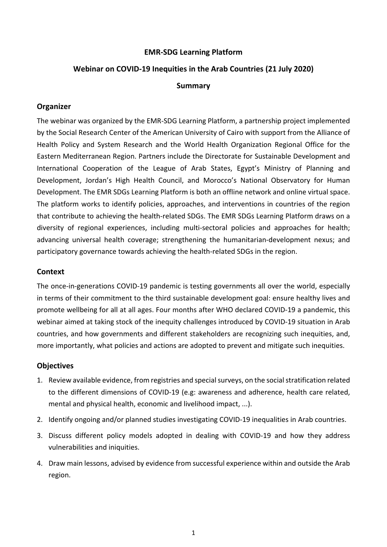## **EMR-SDG Learning Platform**

## **Webinar on COVID-19 Inequities in the Arab Countries (21 July 2020)**

### **Summary**

## **Organizer**

The webinar was organized by the EMR-SDG Learning Platform, a partnership project implemented by the Social Research Center of the American University of Cairo with support from the Alliance of Health Policy and System Research and the World Health Organization Regional Office for the Eastern Mediterranean Region. Partners include the Directorate for Sustainable Development and International Cooperation of the League of Arab States, Egypt's Ministry of Planning and Development, Jordan's High Health Council, and Morocco's National Observatory for Human Development. The EMR SDGs Learning Platform is both an offline network and online virtual space. The platform works to identify policies, approaches, and interventions in countries of the region that contribute to achieving the health-related SDGs. The EMR SDGs Learning Platform draws on a diversity of regional experiences, including multi-sectoral policies and approaches for health; advancing universal health coverage; strengthening the humanitarian-development nexus; and participatory governance towards achieving the health-related SDGs in the region.

## **Context**

The once-in-generations COVID-19 pandemic is testing governments all over the world, especially in terms of their commitment to the third sustainable development goal: ensure healthy lives and promote wellbeing for all at all ages. Four months after WHO declared COVID-19 a pandemic, this webinar aimed at taking stock of the inequity challenges introduced by COVID-19 situation in Arab countries, and how governments and different stakeholders are recognizing such inequities, and, more importantly, what policies and actions are adopted to prevent and mitigate such inequities.

#### **Objectives**

- 1. Review available evidence, from registries and special surveys, on the social stratification related to the different dimensions of COVID-19 (e.g: awareness and adherence, health care related, mental and physical health, economic and livelihood impact, ...).
- 2. Identify ongoing and/or planned studies investigating COVID-19 inequalities in Arab countries.
- 3. Discuss different policy models adopted in dealing with COVID-19 and how they address vulnerabilities and iniquities.
- 4. Draw main lessons, advised by evidence from successful experience within and outside the Arab region.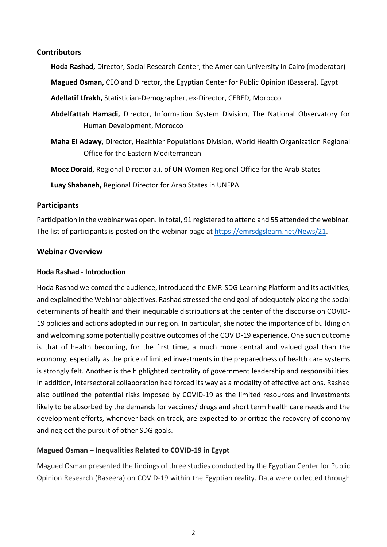# **Contributors**

**Hoda Rashad,** Director, Social Research Center, the American University in Cairo (moderator)

**Magued Osman,** CEO and Director, the Egyptian Center for Public Opinion (Bassera), Egypt

**Adellatif Lfrakh,** Statistician-Demographer, ex-Director, CERED, Morocco

**Abdelfattah Hamadi,** Director, Information System Division, The National Observatory for Human Development, Morocco

**Maha El Adawy,** Director, Healthier Populations Division, World Health Organization Regional Office for the Eastern Mediterranean

**Moez Doraid,** Regional Director a.i. of UN Women Regional Office for the Arab States

**Luay Shabaneh,** Regional Director for Arab States in UNFPA

# **Participants**

Participation in the webinar was open. In total, 91 registered to attend and 55 attended the webinar. The list of participants is posted on the webinar page at [https://emrsdgslearn.net/News/21.](https://emrsdgslearn.net/News/21)

## **Webinar Overview**

### **Hoda Rashad - Introduction**

Hoda Rashad welcomed the audience, introduced the EMR-SDG Learning Platform and its activities, and explained the Webinar objectives. Rashad stressed the end goal of adequately placing the social determinants of health and their inequitable distributions at the center of the discourse on COVID-19 policies and actions adopted in our region. In particular, she noted the importance of building on and welcoming some potentially positive outcomes of the COVID-19 experience. One such outcome is that of health becoming, for the first time, a much more central and valued goal than the economy, especially as the price of limited investments in the preparedness of health care systems is strongly felt. Another is the highlighted centrality of government leadership and responsibilities. In addition, intersectoral collaboration had forced its way as a modality of effective actions. Rashad also outlined the potential risks imposed by COVID-19 as the limited resources and investments likely to be absorbed by the demands for vaccines/ drugs and short term health care needs and the development efforts, whenever back on track, are expected to prioritize the recovery of economy and neglect the pursuit of other SDG goals.

# **Magued Osman – Inequalities Related to COVID-19 in Egypt**

Magued Osman presented the findings of three studies conducted by the Egyptian Center for Public Opinion Research (Baseera) on COVID-19 within the Egyptian reality. Data were collected through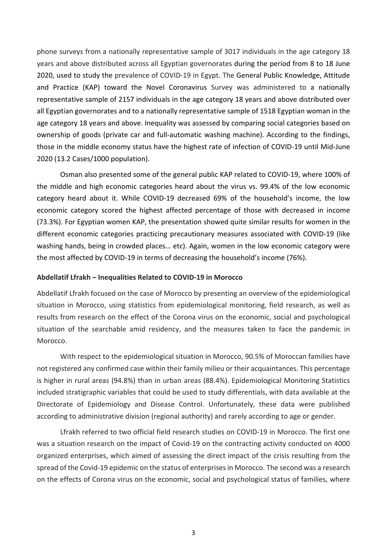phone surveys from a nationally representative sample of 3017 individuals in the age category 18 years and above distributed across all Egyptian governorates during the period from 8 to 18 June 2020, used to study the prevalence of COVID-19 in Egypt. The General Public Knowledge, Attitude and Practice (KAP) toward the Novel Coronavirus Survey was administered to a nationally representative sample of 2157 individuals in the age category 18 years and above distributed over all Egyptian governorates and to a nationally representative sample of 1518 Egyptian woman in the age category 18 years and above. Inequality was assessed by comparing social categories based on ownership of goods (private car and full-automatic washing machine). According to the findings, those in the middle economy status have the highest rate of infection of COVID-19 until Mid-June 2020 (13.2 Cases/1000 population).

Osman also presented some of the general public KAP related to COVID-19, where 100% of the middle and high economic categories heard about the virus vs. 99.4% of the low economic category heard about it. While COVID-19 decreased 69% of the household's income, the low economic category scored the highest affected percentage of those with decreased in income (73.3%). For Egyptian women KAP, the presentation showed quite similar results for women in the different economic categories practicing precautionary measures associated with COVID-19 (like washing hands, being in crowded places… etc). Again, women in the low economic category were the most affected by COVID-19 in terms of decreasing the household's income (76%).

#### **Abdellatif Lfrakh – Inequalities Related to COVID-19 in Morocco**

Abdellatif Lfrakh focused on the case of Morocco by presenting an overview of the epidemiological situation in Morocco, using statistics from epidemiological monitoring, field research, as well as results from research on the effect of the Corona virus on the economic, social and psychological situation of the searchable amid residency, and the measures taken to face the pandemic in Morocco.

With respect to the epidemiological situation in Morocco, 90.5% of Moroccan families have not registered any confirmed case within their family milieu or their acquaintances. This percentage is higher in rural areas (94.8%) than in urban areas (88.4%). Epidemiological Monitoring Statistics included stratigraphic variables that could be used to study differentials, with data available at the Directorate of Epidemiology and Disease Control. Unfortunately, these data were published according to administrative division (regional authority) and rarely according to age or gender.

Lfrakh referred to two official field research studies on COVID-19 in Morocco. The first one was a situation research on the impact of Covid-19 on the contracting activity conducted on 4000 organized enterprises, which aimed of assessing the direct impact of the crisis resulting from the spread of the Covid-19 epidemic on the status of enterprises in Morocco. The second was a research on the effects of Corona virus on the economic, social and psychological status of families, where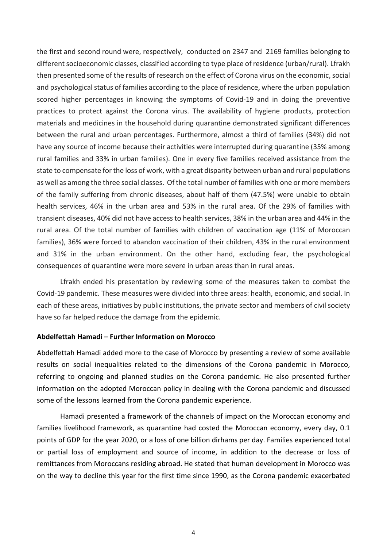the first and second round were, respectively, conducted on 2347 and 2169 families belonging to different socioeconomic classes, classified according to type place of residence (urban/rural). Lfrakh then presented some of the results of research on the effect of Corona virus on the economic, social and psychological status of families according to the place of residence, where the urban population scored higher percentages in knowing the symptoms of Covid-19 and in doing the preventive practices to protect against the Corona virus. The availability of hygiene products, protection materials and medicines in the household during quarantine demonstrated significant differences between the rural and urban percentages. Furthermore, almost a third of families (34%) did not have any source of income because their activities were interrupted during quarantine (35% among rural families and 33% in urban families). One in every five families received assistance from the state to compensate for the loss of work, with a great disparity between urban and rural populations as well as among the three social classes. Of the total number of families with one or more members of the family suffering from chronic diseases, about half of them (47.5%) were unable to obtain health services, 46% in the urban area and 53% in the rural area. Of the 29% of families with transient diseases, 40% did not have access to health services, 38% in the urban area and 44% in the rural area. Of the total number of families with children of vaccination age (11% of Moroccan families), 36% were forced to abandon vaccination of their children, 43% in the rural environment and 31% in the urban environment. On the other hand, excluding fear, the psychological consequences of quarantine were more severe in urban areas than in rural areas.

Lfrakh ended his presentation by reviewing some of the measures taken to combat the Covid-19 pandemic. These measures were divided into three areas: health, economic, and social. In each of these areas, initiatives by public institutions, the private sector and members of civil society have so far helped reduce the damage from the epidemic.

#### **Abdelfettah Hamadi – Further Information on Morocco**

Abdelfettah Hamadi added more to the case of Morocco by presenting a review of some available results on social inequalities related to the dimensions of the Corona pandemic in Morocco, referring to ongoing and planned studies on the Corona pandemic. He also presented further information on the adopted Moroccan policy in dealing with the Corona pandemic and discussed some of the lessons learned from the Corona pandemic experience.

Hamadi presented a framework of the channels of impact on the Moroccan economy and families livelihood framework, as quarantine had costed the Moroccan economy, every day, 0.1 points of GDP for the year 2020, or a loss of one billion dirhams per day. Families experienced total or partial loss of employment and source of income, in addition to the decrease or loss of remittances from Moroccans residing abroad. He stated that human development in Morocco was on the way to decline this year for the first time since 1990, as the Corona pandemic exacerbated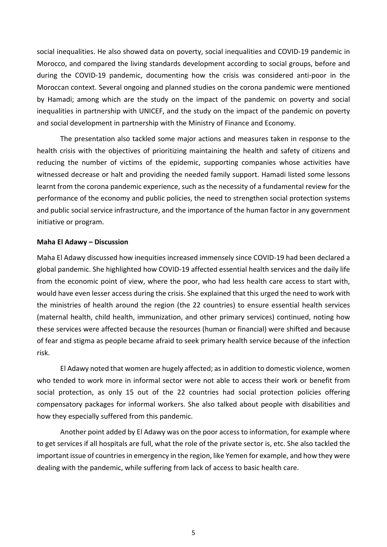social inequalities. He also showed data on poverty, social inequalities and COVID-19 pandemic in Morocco, and compared the living standards development according to social groups, before and during the COVID-19 pandemic, documenting how the crisis was considered anti-poor in the Moroccan context. Several ongoing and planned studies on the corona pandemic were mentioned by Hamadi; among which are the study on the impact of the pandemic on poverty and social inequalities in partnership with UNICEF, and the study on the impact of the pandemic on poverty and social development in partnership with the Ministry of Finance and Economy.

The presentation also tackled some major actions and measures taken in response to the health crisis with the objectives of prioritizing maintaining the health and safety of citizens and reducing the number of victims of the epidemic, supporting companies whose activities have witnessed decrease or halt and providing the needed family support. Hamadi listed some lessons learnt from the corona pandemic experience, such as the necessity of a fundamental review for the performance of the economy and public policies, the need to strengthen social protection systems and public social service infrastructure, and the importance of the human factor in any government initiative or program.

#### **Maha El Adawy – Discussion**

Maha El Adawy discussed how inequities increased immensely since COVID-19 had been declared a global pandemic. She highlighted how COVID-19 affected essential health services and the daily life from the economic point of view, where the poor, who had less health care access to start with, would have even lesser access during the crisis. She explained that this urged the need to work with the ministries of health around the region (the 22 countries) to ensure essential health services (maternal health, child health, immunization, and other primary services) continued, noting how these services were affected because the resources (human or financial) were shifted and because of fear and stigma as people became afraid to seek primary health service because of the infection risk.

El Adawy noted that women are hugely affected; as in addition to domestic violence, women who tended to work more in informal sector were not able to access their work or benefit from social protection, as only 15 out of the 22 countries had social protection policies offering compensatory packages for informal workers. She also talked about people with disabilities and how they especially suffered from this pandemic.

Another point added by El Adawy was on the poor access to information, for example where to get services if all hospitals are full, what the role of the private sector is, etc. She also tackled the important issue of countries in emergency in the region, like Yemen for example, and how they were dealing with the pandemic, while suffering from lack of access to basic health care.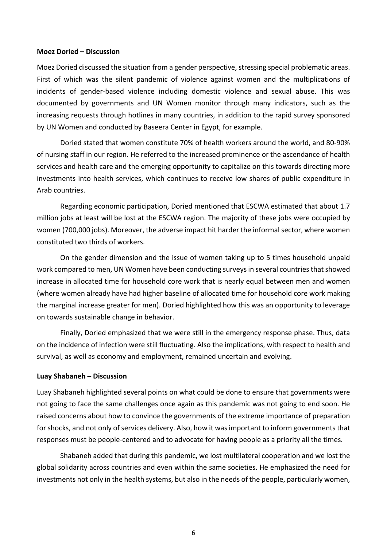#### **Moez Doried – Discussion**

Moez Doried discussed the situation from a gender perspective, stressing special problematic areas. First of which was the silent pandemic of violence against women and the multiplications of incidents of gender-based violence including domestic violence and sexual abuse. This was documented by governments and UN Women monitor through many indicators, such as the increasing requests through hotlines in many countries, in addition to the rapid survey sponsored by UN Women and conducted by Baseera Center in Egypt, for example.

Doried stated that women constitute 70% of health workers around the world, and 80-90% of nursing staff in our region. He referred to the increased prominence or the ascendance of health services and health care and the emerging opportunity to capitalize on this towards directing more investments into health services, which continues to receive low shares of public expenditure in Arab countries.

Regarding economic participation, Doried mentioned that ESCWA estimated that about 1.7 million jobs at least will be lost at the ESCWA region. The majority of these jobs were occupied by women (700,000 jobs). Moreover, the adverse impact hit harder the informal sector, where women constituted two thirds of workers.

On the gender dimension and the issue of women taking up to 5 times household unpaid work compared to men, UN Women have been conducting surveys in several countries that showed increase in allocated time for household core work that is nearly equal between men and women (where women already have had higher baseline of allocated time for household core work making the marginal increase greater for men). Doried highlighted how this was an opportunity to leverage on towards sustainable change in behavior.

Finally, Doried emphasized that we were still in the emergency response phase. Thus, data on the incidence of infection were still fluctuating. Also the implications, with respect to health and survival, as well as economy and employment, remained uncertain and evolving.

#### **Luay Shabaneh – Discussion**

Luay Shabaneh highlighted several points on what could be done to ensure that governments were not going to face the same challenges once again as this pandemic was not going to end soon. He raised concerns about how to convince the governments of the extreme importance of preparation for shocks, and not only of services delivery. Also, how it was important to inform governments that responses must be people-centered and to advocate for having people as a priority all the times.

Shabaneh added that during this pandemic, we lost multilateral cooperation and we lost the global solidarity across countries and even within the same societies. He emphasized the need for investments not only in the health systems, but also in the needs of the people, particularly women,

6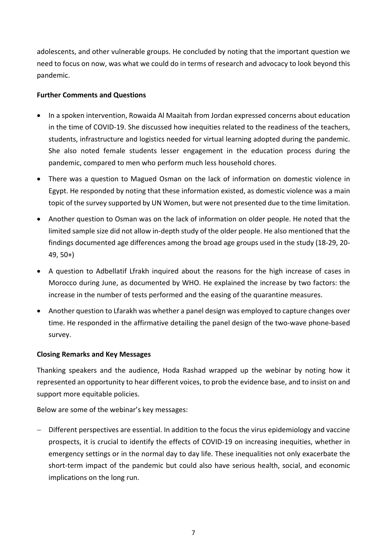adolescents, and other vulnerable groups. He concluded by noting that the important question we need to focus on now, was what we could do in terms of research and advocacy to look beyond this pandemic.

# **Further Comments and Questions**

- In a spoken intervention, Rowaida Al Maaitah from Jordan expressed concerns about education in the time of COVID-19. She discussed how inequities related to the readiness of the teachers, students, infrastructure and logistics needed for virtual learning adopted during the pandemic. She also noted female students lesser engagement in the education process during the pandemic, compared to men who perform much less household chores.
- There was a question to Magued Osman on the lack of information on domestic violence in Egypt. He responded by noting that these information existed, as domestic violence was a main topic of the survey supported by UN Women, but were not presented due to the time limitation.
- Another question to Osman was on the lack of information on older people. He noted that the limited sample size did not allow in-depth study of the older people. He also mentioned that the findings documented age differences among the broad age groups used in the study (18-29, 20- 49, 50+)
- A question to Adbellatif Lfrakh inquired about the reasons for the high increase of cases in Morocco during June, as documented by WHO. He explained the increase by two factors: the increase in the number of tests performed and the easing of the quarantine measures.
- Another question to Lfarakh was whether a panel design was employed to capture changes over time. He responded in the affirmative detailing the panel design of the two-wave phone-based survey.

# **Closing Remarks and Key Messages**

Thanking speakers and the audience, Hoda Rashad wrapped up the webinar by noting how it represented an opportunity to hear different voices, to prob the evidence base, and to insist on and support more equitable policies.

Below are some of the webinar's key messages:

− Different perspectives are essential. In addition to the focus the virus epidemiology and vaccine prospects, it is crucial to identify the effects of COVID-19 on increasing inequities, whether in emergency settings or in the normal day to day life. These inequalities not only exacerbate the short-term impact of the pandemic but could also have serious health, social, and economic implications on the long run.